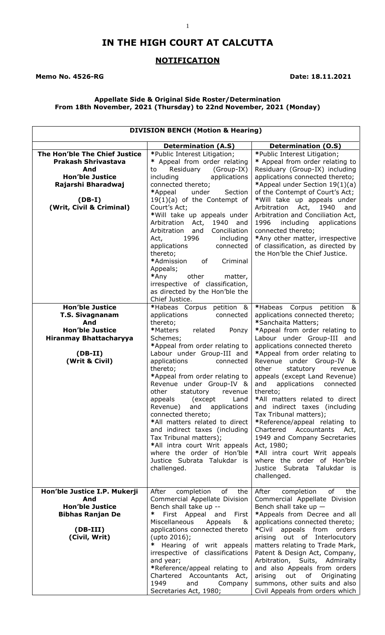# **IN THE HIGH COURT AT CALCUTTA**

1

## **NOTIFICATION**

#### Memo No. 4526-RG **Date: 18.11.2021**

## **Appellate Side & Original Side Roster/Determination From 18th November, 2021 (Thursday) to 22nd November, 2021 (Monday)**

| <b>DIVISION BENCH (Motion &amp; Hearing)</b>                                                                                                               |                                                                                                                                                                                                                                                                                                                                                                                                                                                                                                                                                                                                                      |                                                                                                                                                                                                                                                                                                                                                                                                                                                                                                                                                                                                                                                                                                                |
|------------------------------------------------------------------------------------------------------------------------------------------------------------|----------------------------------------------------------------------------------------------------------------------------------------------------------------------------------------------------------------------------------------------------------------------------------------------------------------------------------------------------------------------------------------------------------------------------------------------------------------------------------------------------------------------------------------------------------------------------------------------------------------------|----------------------------------------------------------------------------------------------------------------------------------------------------------------------------------------------------------------------------------------------------------------------------------------------------------------------------------------------------------------------------------------------------------------------------------------------------------------------------------------------------------------------------------------------------------------------------------------------------------------------------------------------------------------------------------------------------------------|
|                                                                                                                                                            | <b>Determination (A.S)</b>                                                                                                                                                                                                                                                                                                                                                                                                                                                                                                                                                                                           | <b>Determination (O.S)</b>                                                                                                                                                                                                                                                                                                                                                                                                                                                                                                                                                                                                                                                                                     |
| The Hon'ble The Chief Justice<br><b>Prakash Shrivastava</b><br>And<br><b>Hon'ble Justice</b><br>Rajarshi Bharadwaj<br>$(DB-I)$<br>(Writ, Civil & Criminal) | *Public Interest Litigation;<br>* Appeal from order relating<br>Residuary<br>(Group-IX)<br>to<br>applications<br>including<br>connected thereto;<br>*Appeal<br>under<br>Section<br>$19(1)(a)$ of the Contempt of<br>Court's Act;<br>*Will take up appeals under<br>1940<br>Arbitration<br>Act,<br>and<br>Arbitration<br>and<br>Conciliation<br>1996<br>Act,<br>including<br>applications<br>connected<br>thereto;<br>*Admission<br>of<br>Criminal<br>Appeals;<br>*Any<br>other<br>matter,<br>irrespective of classification,<br>as directed by the Hon'ble the<br>Chief Justice.                                     | *Public Interest Litigation;<br>* Appeal from order relating to<br>Residuary (Group-IX) including<br>applications connected thereto;<br>*Appeal under Section 19(1)(a)<br>of the Contempt of Court's Act;<br>*Will take up appeals under<br>Arbitration<br>Act, 1940<br>and<br>Arbitration and Conciliation Act,<br>1996<br>including<br>applications<br>connected thereto;<br>*Any other matter, irrespective<br>of classification, as directed by<br>the Hon'ble the Chief Justice.                                                                                                                                                                                                                          |
| <b>Hon'ble Justice</b><br><b>T.S. Sivagnanam</b><br>And<br><b>Hon'ble Justice</b><br><b>Hiranmay Bhattacharyya</b><br>$(DB-II)$<br>(Writ & Civil)          | *Habeas Corpus petition &<br>applications<br>connected<br>thereto;<br>*Matters<br>related<br>Ponzy<br>Schemes;<br>*Appeal from order relating to<br>Labour under Group-III and<br>applications<br>connected<br>thereto;<br>*Appeal from order relating to<br>Revenue under Group-IV &<br>other<br>statutory<br>revenue<br>appeals<br>(except<br>Land<br>Revenue) and<br>applications<br>connected thereto;<br>*All matters related to direct<br>and indirect taxes (including<br>Tax Tribunal matters);<br>*All intra court Writ appeals<br>where the order of Hon'ble<br>Justice Subrata Talukdar is<br>challenged. | *Habeas Corpus<br>petition<br>84<br>applications connected thereto;<br>*Sanchaita Matters;<br>*Appeal from order relating to<br>Labour under Group-III and<br>applications connected thereto<br>*Appeal from order relating to<br>Revenue under Group-IV &<br>other<br>statutory<br>revenue<br>appeals (except Land Revenue)<br>applications<br>and<br>connected<br>thereto;<br>*All matters related to direct<br>and indirect taxes (including<br>Tax Tribunal matters);<br>*Reference/appeal relating to<br>Chartered<br>Accountants<br>Act,<br>1949 and Company Secretaries<br>Act, 1980;<br>*All intra court Writ appeals<br>where the order of Hon'ble<br>Justice Subrata Talukdar<br>is i<br>challenged. |
| Hon'ble Justice I.P. Mukerji<br>And<br><b>Hon'ble Justice</b><br><b>Bibhas Ranjan De</b><br>$(DB-III)$<br>(Civil, Writ)                                    | After<br>completion<br>of<br>the<br>Commercial Appellate Division<br>Bench shall take up --<br>∗<br>First Appeal and First<br>Miscellaneous<br>Appeals<br>&<br>applications connected thereto<br>(upto 2016);<br>$\ast$<br>Hearing of writ appeals<br>irrespective of classifications<br>and year;<br>*Reference/appeal relating to<br>Chartered Accountants Act,<br>1949<br>and<br>Company<br>Secretaries Act, 1980;                                                                                                                                                                                                | of<br>After<br>completion<br>the<br>Commercial Appellate Division<br>Bench shall take up $-$<br>*Appeals from Decree and all<br>applications connected thereto;<br>*Civil<br>appeals from<br>orders<br>arising out of Interlocutory<br>matters relating to Trade Mark,<br>Patent & Design Act, Company,<br>Arbitration, Suits, Admiralty<br>and also Appeals from orders<br>arising<br>out<br>of Originating<br>summons, other suits and also<br>Civil Appeals from orders which                                                                                                                                                                                                                               |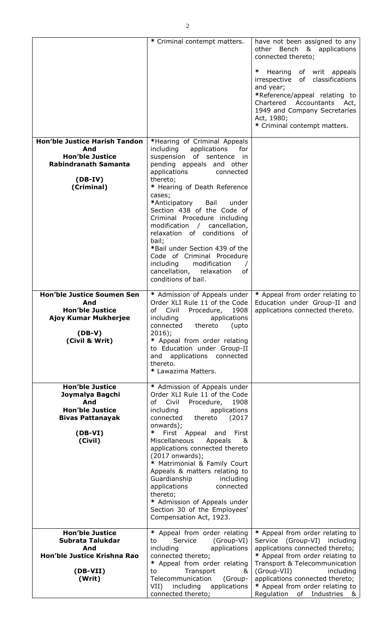|                                                                                                                                 | * Criminal contempt matters.                                                                                                                                                                                                                                                                                                                                                                                                                                                                                                                   | have not been assigned to any<br>Bench & applications<br>other<br>connected thereto;<br>∗<br>Hearing<br>of writ appeals<br>irrespective of classifications<br>and year;<br>*Reference/appeal relating to<br>Chartered Accountants Act,<br>1949 and Company Secretaries<br>Act, 1980;<br>* Criminal contempt matters. |
|---------------------------------------------------------------------------------------------------------------------------------|------------------------------------------------------------------------------------------------------------------------------------------------------------------------------------------------------------------------------------------------------------------------------------------------------------------------------------------------------------------------------------------------------------------------------------------------------------------------------------------------------------------------------------------------|----------------------------------------------------------------------------------------------------------------------------------------------------------------------------------------------------------------------------------------------------------------------------------------------------------------------|
| <b>Hon'ble Justice Harish Tandon</b><br>And<br><b>Hon'ble Justice</b><br><b>Rabindranath Samanta</b><br>$(DB-IV)$<br>(Criminal) | *Hearing of Criminal Appeals<br>including<br>applications<br>for<br>suspension of sentence in<br>pending appeals and other<br>applications<br>connected<br>thereto;<br>* Hearing of Death Reference<br>cases;<br>*Anticipatory<br>Bail<br>under<br>Section 438 of the Code of<br>Criminal Procedure including<br>modification / cancellation,<br>relaxation of conditions of<br>bail;<br>*Bail under Section 439 of the<br>Code of Criminal Procedure<br>modification<br>including<br>cancellation,<br>relaxation<br>οf<br>conditions of bail. |                                                                                                                                                                                                                                                                                                                      |
| <b>Hon'ble Justice Soumen Sen</b><br>And<br><b>Hon'ble Justice</b><br>Ajoy Kumar Mukherjee<br>$(DB-V)$<br>(Civil & Writ)        | * Admission of Appeals under<br>Order XLI Rule 11 of the Code<br>Civil<br>Procedure,<br>1908<br>of<br>including<br>applications<br>connected<br>thereto<br>(upto<br>$2016$ :<br>* Appeal from order relating<br>to Education under Group-II<br>applications connected<br>and<br>thereto.<br>* Lawazima Matters.                                                                                                                                                                                                                                | * Appeal from order relating to<br>Education under Group-II and<br>applications connected thereto.                                                                                                                                                                                                                   |
| <b>Hon'ble Justice</b><br>Joymalya Bagchi<br>And<br><b>Hon'ble Justice</b><br><b>Bivas Pattanayak</b><br>$(DB-VI)$<br>(Civil)   | * Admission of Appeals under<br>Order XLI Rule 11 of the Code<br>of Civil<br>1908<br>Procedure,<br>including<br>applications<br>thereto<br>(2017)<br>connected<br>onwards);<br>∗<br>First Appeal and<br>First<br>Miscellaneous<br>Appeals<br>&<br>applications connected thereto<br>(2017 onwards);<br>* Matrimonial & Family Court<br>Appeals & matters relating to<br>Guardianship<br>including<br>applications<br>connected<br>thereto;<br>* Admission of Appeals under<br>Section 30 of the Employees'<br>Compensation Act, 1923.          |                                                                                                                                                                                                                                                                                                                      |
| <b>Hon'ble Justice</b><br>Subrata Talukdar<br>And<br>Hon'ble Justice Krishna Rao<br>$(DB-VII)$<br>(Writ)                        | * Appeal from order relating<br>Service<br>(Group-VI)<br>to<br>including<br>applications<br>connected thereto;<br>* Appeal from order relating<br>Transport<br>to<br>&<br>Telecommunication<br>(Group-<br>VII)<br>including applications                                                                                                                                                                                                                                                                                                       | * Appeal from order relating to<br>Service (Group-VI) including<br>applications connected thereto;<br>* Appeal from order relating to<br>Transport & Telecommunication<br>(Group-VII)<br>including<br>applications connected thereto;<br>* Appeal from order relating to                                             |

connected thereto;

Regulation of Industries &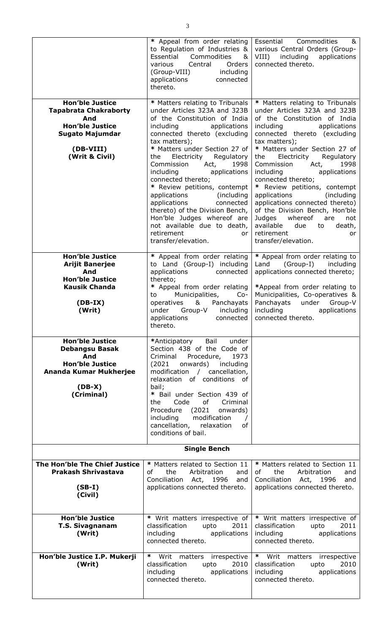|                                                                                                                                                  | * Appeal from order relating<br>to Regulation of Industries &<br>Essential<br>Commodities<br>&<br>Central<br>various<br>Orders<br>including<br>(Group-VIII)<br>applications<br>connected<br>thereto.                                                                                                                                                                                                                                                                                                                                                                      | Essential<br>Commodities<br>&<br>various Central Orders (Group-<br>VIII)<br>including<br>applications<br>connected thereto.                                                                                                                                                                                                                                                                                                                                                                                                                                                               |
|--------------------------------------------------------------------------------------------------------------------------------------------------|---------------------------------------------------------------------------------------------------------------------------------------------------------------------------------------------------------------------------------------------------------------------------------------------------------------------------------------------------------------------------------------------------------------------------------------------------------------------------------------------------------------------------------------------------------------------------|-------------------------------------------------------------------------------------------------------------------------------------------------------------------------------------------------------------------------------------------------------------------------------------------------------------------------------------------------------------------------------------------------------------------------------------------------------------------------------------------------------------------------------------------------------------------------------------------|
| <b>Hon'ble Justice</b><br><b>Tapabrata Chakraborty</b><br>And<br><b>Hon'ble Justice</b><br><b>Sugato Majumdar</b><br>(DB-VIII)<br>(Writ & Civil) | * Matters relating to Tribunals<br>under Articles 323A and 323B<br>of the Constitution of India<br>applications<br>including<br>connected thereto (excluding<br>tax matters);<br>* Matters under Section 27 of<br>Electricity<br>Regulatory<br>the<br>Commission<br>Act,<br>1998<br>including<br>applications<br>connected thereto;<br>* Review petitions, contempt<br>applications<br>(including<br>applications<br>connected<br>thereto) of the Division Bench,<br>Hon'ble Judges whereof are<br>not available due to death,<br>retirement<br>or<br>transfer/elevation. | * Matters relating to Tribunals<br>under Articles 323A and 323B<br>of the Constitution of India<br>including<br>applications<br>connected thereto (excluding<br>tax matters);<br>* Matters under Section 27 of<br>the<br>Electricity<br>Regulatory<br>Commission<br>Act,<br>1998<br>including<br>applications<br>connected thereto;<br>* Review petitions, contempt<br>applications<br>(including)<br>applications connected thereto)<br>of the Division Bench, Hon'ble<br>whereof<br>Judges<br>are<br>not<br>available<br>death,<br>due<br>to<br>retirement<br>or<br>transfer/elevation. |
| <b>Hon'ble Justice</b><br><b>Arijit Banerjee</b><br>And<br><b>Hon'ble Justice</b><br><b>Kausik Chanda</b><br>$(DB-IX)$<br>(Writ)                 | * Appeal from order relating<br>to Land (Group-I) including<br>applications<br>connected<br>thereto;<br>* Appeal from order relating<br>Municipalities,<br>$Co-$<br>to<br>&<br>Panchayats<br>operatives<br>under<br>Group-V<br>including<br>applications<br>connected<br>thereto.                                                                                                                                                                                                                                                                                         | * Appeal from order relating to<br>(Group-I)<br>Land<br>including<br>applications connected thereto;<br>*Appeal from order relating to<br>Municipalities, Co-operatives &<br>Panchayats<br>under<br>Group-V<br>including<br>applications<br>connected thereto.                                                                                                                                                                                                                                                                                                                            |
| <b>Hon'ble Justice</b><br><b>Debangsu Basak</b><br>And<br><b>Hon'ble Justice</b><br>Ananda Kumar Mukherjee<br>$(DB-X)$<br>(Criminal)             | Bail<br>under<br>*Anticipatory<br>Section 438 of the Code of<br>Criminal<br>Procedure,<br>1973<br>(2021)<br>onwards)<br>including<br>modification / cancellation,<br>relaxation of conditions of<br>bail;<br>* Bail under Section 439 of<br>of Criminal<br>Code<br>the<br>Procedure (2021<br>onwards)<br>modification<br>including<br>cancellation, relaxation<br>of<br>conditions of bail.                                                                                                                                                                               |                                                                                                                                                                                                                                                                                                                                                                                                                                                                                                                                                                                           |
| <b>Single Bench</b>                                                                                                                              |                                                                                                                                                                                                                                                                                                                                                                                                                                                                                                                                                                           |                                                                                                                                                                                                                                                                                                                                                                                                                                                                                                                                                                                           |
| The Hon'ble The Chief Justice<br><b>Prakash Shrivastava</b><br>$(SB-I)$<br>(Civil)                                                               | * Matters related to Section 11<br>the<br>Arbitration<br>of<br>and<br>Conciliation Act, 1996<br>and<br>applications connected thereto.                                                                                                                                                                                                                                                                                                                                                                                                                                    | * Matters related to Section 11<br>the<br>Arbitration<br>οf<br>and<br>Conciliation Act, 1996<br>and<br>applications connected thereto.                                                                                                                                                                                                                                                                                                                                                                                                                                                    |
| <b>Hon'ble Justice</b><br><b>T.S. Sivagnanam</b><br>(Writ)                                                                                       | * Writ matters irrespective of<br>classification<br>upto<br>2011<br>including<br>applications<br>connected thereto.                                                                                                                                                                                                                                                                                                                                                                                                                                                       | * Writ matters irrespective of<br>classification<br>upto<br>2011<br>including<br>applications<br>connected thereto.                                                                                                                                                                                                                                                                                                                                                                                                                                                                       |
| Hon'ble Justice I.P. Mukerji<br>(Writ)                                                                                                           | * Writ matters irrespective<br>classification<br>2010<br>upto<br>including<br>applications<br>connected thereto.                                                                                                                                                                                                                                                                                                                                                                                                                                                          | * Writ matters<br>irrespective<br>classification<br>2010<br>upto<br>including<br>applications<br>connected thereto.                                                                                                                                                                                                                                                                                                                                                                                                                                                                       |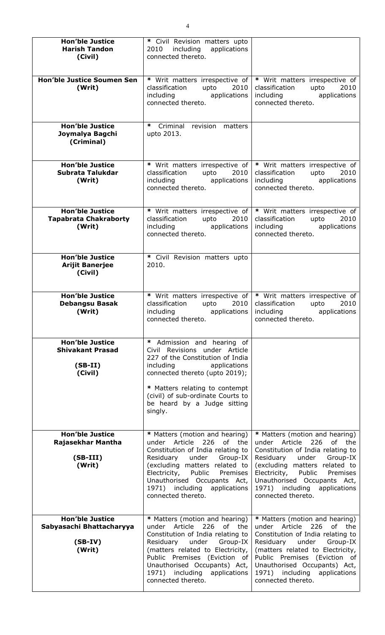| <b>Hon'ble Justice</b><br><b>Harish Tandon</b><br>(Civil)                 | * Civil Revision matters upto<br>2010 including applications<br>connected thereto.                                                                                                                                                                                                                |                                                                                                                                                                                                                                                                                                   |
|---------------------------------------------------------------------------|---------------------------------------------------------------------------------------------------------------------------------------------------------------------------------------------------------------------------------------------------------------------------------------------------|---------------------------------------------------------------------------------------------------------------------------------------------------------------------------------------------------------------------------------------------------------------------------------------------------|
| <b>Hon'ble Justice Soumen Sen</b><br>(Writ)                               | * Writ matters irrespective of<br>classification<br>upto<br>2010<br>including applications<br>connected thereto.                                                                                                                                                                                  | * Writ matters irrespective of<br>classification<br>2010<br>upto<br>applications<br>including<br>connected thereto.                                                                                                                                                                               |
| <b>Hon'ble Justice</b><br>Joymalya Bagchi<br>(Criminal)                   | ∗<br>Criminal revision<br>matters<br>upto 2013.                                                                                                                                                                                                                                                   |                                                                                                                                                                                                                                                                                                   |
| <b>Hon'ble Justice</b><br>Subrata Talukdar<br>(Writ)                      | * Writ matters irrespective of<br>classification<br>upto<br>2010<br>including applications<br>connected thereto.                                                                                                                                                                                  | * Writ matters irrespective of<br>2010<br>classification<br>upto<br>including<br>applications<br>connected thereto.                                                                                                                                                                               |
| <b>Hon'ble Justice</b><br><b>Tapabrata Chakraborty</b><br>(Writ)          | * Writ matters irrespective of<br>2010<br>classification<br>upto<br>including applications<br>connected thereto.                                                                                                                                                                                  | * Writ matters irrespective of<br>2010<br>classification<br>upto<br>including<br>applications<br>connected thereto.                                                                                                                                                                               |
| <b>Hon'ble Justice</b><br><b>Arijit Banerjee</b><br>(Civil)               | * Civil Revision matters upto<br>2010.                                                                                                                                                                                                                                                            |                                                                                                                                                                                                                                                                                                   |
| <b>Hon'ble Justice</b><br><b>Debangsu Basak</b><br>(Writ)                 | * Writ matters irrespective of<br>classification<br>upto<br>2010<br>including<br>applications<br>connected thereto.                                                                                                                                                                               | * Writ matters irrespective of<br>classification<br>upto<br>2010<br>including<br>applications<br>connected thereto.                                                                                                                                                                               |
| <b>Hon'ble Justice</b><br><b>Shivakant Prasad</b><br>$(SB-II)$<br>(Civil) | Admission and hearing of<br>∗<br>Civil Revisions under Article<br>227 of the Constitution of India<br>applications<br>including<br>connected thereto (upto 2019);                                                                                                                                 |                                                                                                                                                                                                                                                                                                   |
|                                                                           | * Matters relating to contempt<br>(civil) of sub-ordinate Courts to<br>be heard by a Judge sitting<br>singly.                                                                                                                                                                                     |                                                                                                                                                                                                                                                                                                   |
| <b>Hon'ble Justice</b><br>Rajasekhar Mantha<br>$(SB-III)$<br>(Writ)       | * Matters (motion and hearing)<br>under Article 226 of the<br>Constitution of India relating to<br>under Group-IX<br>Residuary<br>(excluding matters related to<br>Electricity, Public<br>Premises<br>Unauthorised Occupants Act,<br>1971) including applications<br>connected thereto.           | * Matters (motion and hearing)<br>under Article 226<br>of the<br>Constitution of India relating to<br>Residuary under Group-IX<br>(excluding matters related to<br>Public<br>Electricity,<br>Premises<br>Unauthorised Occupants Act,<br>1971) including applications<br>connected thereto.        |
| <b>Hon'ble Justice</b><br>Sabyasachi Bhattacharyya<br>$(SB-IV)$<br>(Writ) | * Matters (motion and hearing)<br>under Article<br>226<br>of the<br>Constitution of India relating to<br>Residuary<br>under<br>Group-IX<br>(matters related to Electricity,<br>Public Premises (Eviction of<br>Unauthorised Occupants) Act,<br>1971) including applications<br>connected thereto. | * Matters (motion and hearing)<br>under Article 226<br>of the<br>Constitution of India relating to<br>Residuary<br>under<br>Group-IX<br>(matters related to Electricity,<br>Public Premises (Eviction of<br>Unauthorised Occupants) Act,<br>1971) including<br>applications<br>connected thereto. |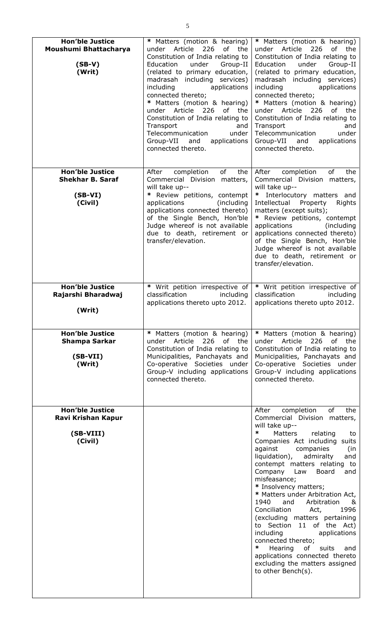| <b>Hon'ble Justice</b><br>Moushumi Bhattacharya<br>$(SB-V)$<br>(Writ)     | * Matters (motion & hearing)<br>Article<br>226<br>of the<br>under<br>Constitution of India relating to<br>Group-II<br>Education<br>under<br>(related to primary education,<br>madrasah including services)<br>including<br>applications<br>connected thereto;<br>* Matters (motion & hearing)<br>under Article<br>226<br>of the<br>Constitution of India relating to<br>Transport<br>and<br>Telecommunication<br>under<br>Group-VII and<br>applications<br>connected thereto. | * Matters (motion & hearing)<br>under Article<br>226<br>of<br>the<br>Constitution of India relating to<br>Education<br>under<br>Group-II<br>(related to primary education,<br>madrasah including services)<br>applications<br>including<br>connected thereto;<br>* Matters (motion & hearing)<br>under Article<br>226<br>of<br>the<br>Constitution of India relating to<br>Transport<br>and<br>under<br>Telecommunication<br>Group-VII and<br>applications<br>connected thereto.                                                                                                                                                                                                                            |
|---------------------------------------------------------------------------|-------------------------------------------------------------------------------------------------------------------------------------------------------------------------------------------------------------------------------------------------------------------------------------------------------------------------------------------------------------------------------------------------------------------------------------------------------------------------------|-------------------------------------------------------------------------------------------------------------------------------------------------------------------------------------------------------------------------------------------------------------------------------------------------------------------------------------------------------------------------------------------------------------------------------------------------------------------------------------------------------------------------------------------------------------------------------------------------------------------------------------------------------------------------------------------------------------|
| <b>Hon'ble Justice</b><br><b>Shekhar B. Saraf</b><br>$(SB-VI)$<br>(Civil) | of<br>After<br>completion<br>the<br>Commercial Division matters,<br>will take up--<br>* Review petitions, contempt<br>(including<br>applications<br>applications connected thereto)<br>of the Single Bench, Hon'ble<br>Judge whereof is not available<br>due to death, retirement or<br>transfer/elevation.                                                                                                                                                                   | of<br>After<br>completion<br>the<br>Commercial Division matters,<br>will take up--<br>* Interlocutory matters and<br>Intellectual<br>Property<br>Rights<br>matters (except suits);<br>* Review petitions, contempt<br>applications<br>(including)<br>applications connected thereto)<br>of the Single Bench, Hon'ble<br>Judge whereof is not available<br>due to death, retirement or<br>transfer/elevation.                                                                                                                                                                                                                                                                                                |
| <b>Hon'ble Justice</b><br>Rajarshi Bharadwaj<br>(Writ)                    | * Writ petition irrespective of<br>classification<br>including<br>applications thereto upto 2012.                                                                                                                                                                                                                                                                                                                                                                             | * Writ petition irrespective of<br>classification<br>including<br>applications thereto upto 2012.                                                                                                                                                                                                                                                                                                                                                                                                                                                                                                                                                                                                           |
| <b>Hon'ble Justice</b><br><b>Shampa Sarkar</b><br>$(SB-VII)$<br>(Writ)    | * Matters (motion & hearing)<br>226<br>of the<br>Article<br>under<br>Constitution of India relating to<br>Municipalities, Panchayats and<br>Co-operative Societies under<br>Group-V including applications<br>connected thereto.                                                                                                                                                                                                                                              | * Matters (motion & hearing)<br>under Article<br>226<br>of<br>the<br>Constitution of India relating to<br>Municipalities, Panchayats and<br>Co-operative Societies under<br>Group-V including applications<br>connected thereto.                                                                                                                                                                                                                                                                                                                                                                                                                                                                            |
| <b>Hon'ble Justice</b><br>Ravi Krishan Kapur<br>(SB-VIII)<br>(Civil)      |                                                                                                                                                                                                                                                                                                                                                                                                                                                                               | of<br>After<br>completion<br>the<br>Commercial Division matters,<br>will take up--<br>$\ast$<br><b>Matters</b><br>relating<br>to<br>Companies Act including suits<br>against<br>companies<br>(in<br>liquidation),<br>admiralty<br>and<br>contempt matters relating<br>to<br>Company<br>Board<br>Law<br>and<br>misfeasance;<br>* Insolvency matters;<br>* Matters under Arbitration Act,<br>1940<br>and<br>Arbitration<br>&<br>Conciliation<br>1996<br>Act,<br>(excluding matters pertaining<br>to Section 11 of the Act)<br>including<br>applications<br>connected thereto;<br>∗<br>Hearing<br>of<br>suits<br>and<br>applications connected thereto<br>excluding the matters assigned<br>to other Bench(s). |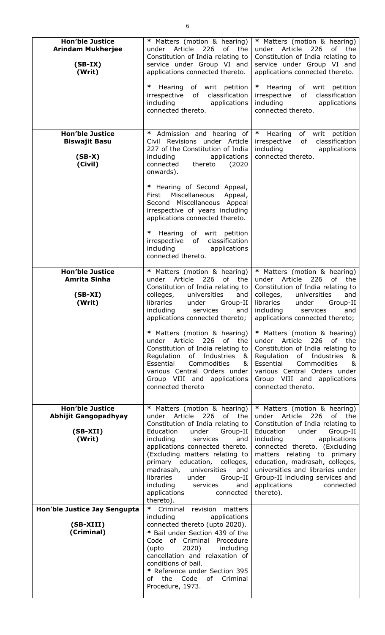| <b>Hon'ble Justice</b><br><b>Arindam Mukherjee</b><br>$(SB-IX)$<br>(Writ)     | * Matters (motion & hearing)<br>under Article<br>226<br>of the<br>Constitution of India relating to<br>service under Group VI and<br>applications connected thereto.                                                                                                                                                                                                                                                                                                                                   | * Matters (motion & hearing)<br>under Article<br>226<br>of the<br>Constitution of India relating to<br>service under Group VI and<br>applications connected thereto.                                                                                                                                                                                                                                                                                                                                    |
|-------------------------------------------------------------------------------|--------------------------------------------------------------------------------------------------------------------------------------------------------------------------------------------------------------------------------------------------------------------------------------------------------------------------------------------------------------------------------------------------------------------------------------------------------------------------------------------------------|---------------------------------------------------------------------------------------------------------------------------------------------------------------------------------------------------------------------------------------------------------------------------------------------------------------------------------------------------------------------------------------------------------------------------------------------------------------------------------------------------------|
|                                                                               | ∗<br>Hearing of writ petition<br>irrespective of classification<br>including applications<br>connected thereto.                                                                                                                                                                                                                                                                                                                                                                                        | Hearing of writ petition<br>$\ast$<br>irrespective of classification<br>including<br>applications<br>connected thereto.                                                                                                                                                                                                                                                                                                                                                                                 |
| <b>Hon'ble Justice</b><br><b>Biswajit Basu</b><br>$(SB-X)$<br>(Civil)         | ∗<br>Admission and hearing of<br>Civil Revisions under Article<br>227 of the Constitution of India<br>applications<br>including<br>connected thereto<br>(2020)<br>onwards).<br>* Hearing of Second Appeal,<br>Miscellaneous<br>First<br>Appeal,<br>Second Miscellaneous Appeal<br>irrespective of years including<br>applications connected thereto.<br>* Hearing of writ petition<br>irrespective of classification<br>including<br>applications<br>connected thereto.                                | $\ast$<br>of writ petition<br>Hearing<br>of<br>classification<br>irrespective<br>including applications<br>connected thereto.                                                                                                                                                                                                                                                                                                                                                                           |
| <b>Hon'ble Justice</b><br><b>Amrita Sinha</b><br>$(SB-XI)$<br>(Writ)          | * Matters (motion & hearing)<br>under Article 226 of the<br>Constitution of India relating to<br>universities<br>colleges,<br>and<br>libraries<br>Group-II<br>under<br>including<br>services<br>and<br>applications connected thereto;<br>* Matters (motion & hearing)<br>under Article<br>226<br>of the<br>Constitution of India relating to<br>Regulation<br>of Industries<br>&<br>Essential<br>Commodities<br>&<br>various Central Orders under<br>Group VIII and applications<br>connected thereto | * Matters (motion & hearing)<br>under Article 226 of the<br>Constitution of India relating to<br>colleges,<br>universities<br>and<br>libraries<br>under<br>Group-II<br>including<br>services<br>and<br>applications connected thereto;<br>* Matters (motion & hearing)<br>under Article<br>226<br>of the<br>Constitution of India relating to<br>Regulation<br>of Industries<br>&<br>Essential<br>Commodities<br>&<br>various Central Orders under<br>Group VIII and applications<br>connected thereto. |
| <b>Hon'ble Justice</b><br><b>Abhijit Gangopadhyay</b><br>$(SB-XII)$<br>(Writ) | * Matters (motion & hearing)<br>under Article<br>226<br>of the<br>Constitution of India relating to<br>Education<br>under<br>Group-II<br>including<br>services<br>and<br>applications connected thereto.<br>(Excluding matters relating to<br>primary education, colleges,<br>madrasah,<br>universities<br>and<br>libraries<br>under<br>Group-II<br>including<br>services<br>and<br>applications<br>connected<br>thereto).                                                                             | * Matters (motion & hearing)<br>under Article<br>226<br>of the<br>Constitution of India relating to<br>Education<br>under<br>Group-II<br>including<br>applications<br>connected thereto. (Excluding<br>matters relating to primary<br>education, madrasah, colleges,<br>universities and libraries under<br>Group-II including services and<br>applications<br>connected<br>thereto).                                                                                                                   |
| Hon'ble Justice Jay Sengupta<br>(SB-XIII)<br>(Criminal)                       | ∗<br>Criminal revision matters<br>including<br>applications<br>connected thereto (upto 2020).<br>* Bail under Section 439 of the<br>Code of Criminal Procedure<br>2020)<br>(upto<br>including<br>cancellation and relaxation of<br>conditions of bail.<br>* Reference under Section 395<br>of the Code of Criminal<br>Procedure, 1973.                                                                                                                                                                 |                                                                                                                                                                                                                                                                                                                                                                                                                                                                                                         |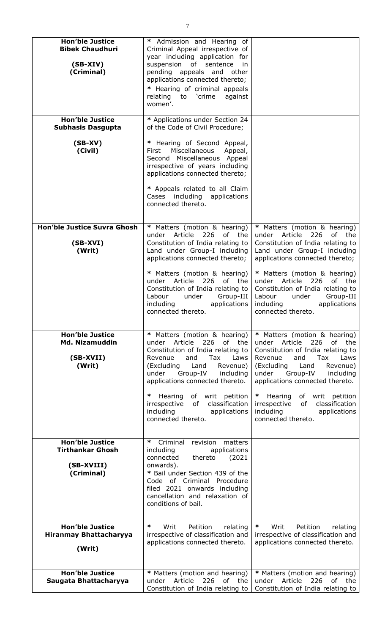| <b>Hon'ble Justice</b><br><b>Bibek Chaudhuri</b>                | * Admission and Hearing of<br>Criminal Appeal irrespective of<br>year including application for                                                                                                                                                                                                                            |                                                                                                                                                                                                                                                                                                                      |
|-----------------------------------------------------------------|----------------------------------------------------------------------------------------------------------------------------------------------------------------------------------------------------------------------------------------------------------------------------------------------------------------------------|----------------------------------------------------------------------------------------------------------------------------------------------------------------------------------------------------------------------------------------------------------------------------------------------------------------------|
| $(SB-XIV)$<br>(Criminal)                                        | suspension of sentence<br>in.<br>pending appeals and other<br>applications connected thereto;                                                                                                                                                                                                                              |                                                                                                                                                                                                                                                                                                                      |
|                                                                 | * Hearing of criminal appeals<br>relating to 'crime<br>against<br>women'.                                                                                                                                                                                                                                                  |                                                                                                                                                                                                                                                                                                                      |
| <b>Hon'ble Justice</b>                                          | * Applications under Section 24                                                                                                                                                                                                                                                                                            |                                                                                                                                                                                                                                                                                                                      |
| <b>Subhasis Dasgupta</b>                                        | of the Code of Civil Procedure;                                                                                                                                                                                                                                                                                            |                                                                                                                                                                                                                                                                                                                      |
| $(SB-XV)$<br>(Civil)                                            | * Hearing of Second Appeal,<br>Miscellaneous<br>First<br>Appeal,<br>Second Miscellaneous Appeal<br>irrespective of years including<br>applications connected thereto;                                                                                                                                                      |                                                                                                                                                                                                                                                                                                                      |
|                                                                 | * Appeals related to all Claim<br>Cases including applications<br>connected thereto.                                                                                                                                                                                                                                       |                                                                                                                                                                                                                                                                                                                      |
| Hon'ble Justice Suvra Ghosh                                     | * Matters (motion & hearing)                                                                                                                                                                                                                                                                                               | * Matters (motion & hearing)                                                                                                                                                                                                                                                                                         |
| $(SB-XVI)$<br>(Writ)                                            | Article<br>226<br>of<br>under<br>the<br>Constitution of India relating to<br>Land under Group-I including<br>applications connected thereto;                                                                                                                                                                               | under Article<br>226<br>of<br>the<br>Constitution of India relating to<br>Land under Group-I including<br>applications connected thereto;                                                                                                                                                                            |
|                                                                 | * Matters (motion & hearing)<br>Article<br>226<br>of the<br>under<br>Constitution of India relating to<br>Group-III<br>under<br>Labour<br>applications<br>including<br>connected thereto.                                                                                                                                  | * Matters (motion & hearing)<br>Article<br>226<br>of l<br>the<br>under<br>Constitution of India relating to<br>Labour<br>under<br>Group-III<br>applications<br>including<br>connected thereto.                                                                                                                       |
| <b>Hon'ble Justice</b><br>Md. Nizamuddin<br>(SB-XVII)<br>(Writ) | * Matters (motion & hearing)<br>of<br>under Article<br>226<br>the<br>Constitution of India relating to<br>and<br>Tax<br>Revenue<br>Laws<br>(Excluding<br>Land<br>Revenue)<br>under<br>Group-IV<br>including<br>applications connected thereto.<br>∗<br>Hearing<br>of writ petition<br>irrespective<br>of<br>classification | * Matters (motion & hearing)<br>under Article<br>226<br>of the<br>Constitution of India relating to<br>Revenue<br>and<br>Tax<br>Laws<br>(Excluding Land<br>Revenue)<br>under<br>Group-IV<br>including<br>applications connected thereto.<br>of writ petition<br>×<br>Hearing<br>irrespective<br>of<br>classification |
|                                                                 | including<br>applications<br>connected thereto.                                                                                                                                                                                                                                                                            | including<br>applications<br>connected thereto.                                                                                                                                                                                                                                                                      |
| <b>Hon'ble Justice</b>                                          | ∗<br>Criminal<br>revision<br>matters                                                                                                                                                                                                                                                                                       |                                                                                                                                                                                                                                                                                                                      |
| <b>Tirthankar Ghosh</b>                                         | including<br>applications<br>connected<br>thereto<br>(2021)                                                                                                                                                                                                                                                                |                                                                                                                                                                                                                                                                                                                      |
| (SB-XVIII)                                                      | onwards).                                                                                                                                                                                                                                                                                                                  |                                                                                                                                                                                                                                                                                                                      |
| (Criminal)                                                      | * Bail under Section 439 of the<br>Code of Criminal Procedure                                                                                                                                                                                                                                                              |                                                                                                                                                                                                                                                                                                                      |
|                                                                 | filed 2021 onwards including                                                                                                                                                                                                                                                                                               |                                                                                                                                                                                                                                                                                                                      |
|                                                                 | cancellation and relaxation of<br>conditions of bail.                                                                                                                                                                                                                                                                      |                                                                                                                                                                                                                                                                                                                      |
|                                                                 |                                                                                                                                                                                                                                                                                                                            |                                                                                                                                                                                                                                                                                                                      |
| <b>Hon'ble Justice</b>                                          | ∗<br>Petition<br>Writ<br>relating                                                                                                                                                                                                                                                                                          | ∗<br>Writ<br>Petition                                                                                                                                                                                                                                                                                                |
| <b>Hiranmay Bhattacharyya</b>                                   | irrespective of classification and                                                                                                                                                                                                                                                                                         | relating<br>irrespective of classification and                                                                                                                                                                                                                                                                       |
| (Writ)                                                          | applications connected thereto.                                                                                                                                                                                                                                                                                            | applications connected thereto.                                                                                                                                                                                                                                                                                      |
|                                                                 |                                                                                                                                                                                                                                                                                                                            |                                                                                                                                                                                                                                                                                                                      |
|                                                                 |                                                                                                                                                                                                                                                                                                                            |                                                                                                                                                                                                                                                                                                                      |
| <b>Hon'ble Justice</b><br>Saugata Bhattacharyya                 | * Matters (motion and hearing)<br>226<br>of<br>Article<br>the<br>under                                                                                                                                                                                                                                                     | * Matters (motion and hearing)<br>Article<br>226<br>of<br>under<br>the                                                                                                                                                                                                                                               |
|                                                                 | Constitution of India relating to                                                                                                                                                                                                                                                                                          | Constitution of India relating to                                                                                                                                                                                                                                                                                    |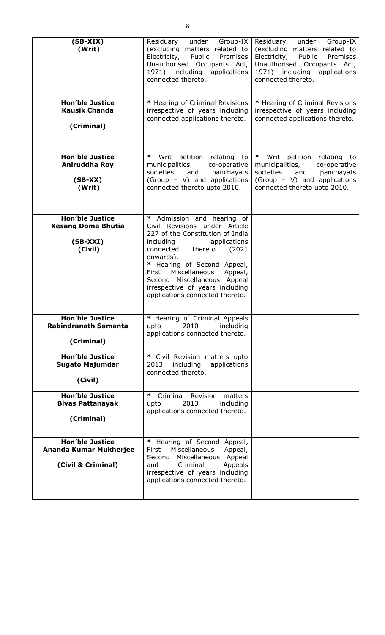| $(SB-XIX)$<br>(Writ)                                                          | Group-IX<br>Residuary<br>under<br>(excluding matters related to<br>Electricity, Public<br>Premises<br>Unauthorised Occupants Act,<br>1971) including applications<br>connected thereto.                                                                                                                                                                      | Residuary<br>under<br>Group-IX<br>(excluding matters related to<br>Electricity,<br>Public<br>Premises<br>Unauthorised Occupants Act,<br>1971) including<br>applications<br>connected thereto. |
|-------------------------------------------------------------------------------|--------------------------------------------------------------------------------------------------------------------------------------------------------------------------------------------------------------------------------------------------------------------------------------------------------------------------------------------------------------|-----------------------------------------------------------------------------------------------------------------------------------------------------------------------------------------------|
| <b>Hon'ble Justice</b><br><b>Kausik Chanda</b><br>(Criminal)                  | * Hearing of Criminal Revisions<br>irrespective of years including<br>connected applications thereto.                                                                                                                                                                                                                                                        | * Hearing of Criminal Revisions<br>irrespective of years including<br>connected applications thereto.                                                                                         |
| <b>Hon'ble Justice</b><br>Aniruddha Roy<br>$(SB-XX)$<br>(Writ)                | ∗<br>Writ<br>petition relating to<br>municipalities,<br>co-operative<br>panchayats<br>societies<br>and<br>(Group - V) and applications<br>connected thereto upto 2010.                                                                                                                                                                                       | ∗<br>Writ<br>petition relating<br>to<br>municipalities,<br>co-operative<br>societies<br>and<br>panchayats<br>(Group - V) and applications<br>connected thereto upto 2010.                     |
| <b>Hon'ble Justice</b><br><b>Kesang Doma Bhutia</b><br>$(SB-XXI)$<br>(Civil)  | Admission and hearing of<br>$\ast$<br>Civil Revisions under Article<br>227 of the Constitution of India<br>applications<br>including<br>connected<br>thereto<br>(2021)<br>onwards).<br>* Hearing of Second Appeal,<br>Miscellaneous<br>Appeal,<br>First<br>Second Miscellaneous Appeal<br>irrespective of years including<br>applications connected thereto. |                                                                                                                                                                                               |
| <b>Hon'ble Justice</b><br>Rabindranath Samanta<br>(Criminal)                  | * Hearing of Criminal Appeals<br>2010<br>including<br>upto<br>applications connected thereto.                                                                                                                                                                                                                                                                |                                                                                                                                                                                               |
| <b>Hon'ble Justice</b><br><b>Sugato Majumdar</b><br>(Civil)                   | * Civil Revision matters upto<br>including<br>applications<br>2013<br>connected thereto.                                                                                                                                                                                                                                                                     |                                                                                                                                                                                               |
| <b>Hon'ble Justice</b><br><b>Bivas Pattanayak</b><br>(Criminal)               | ∗<br>Criminal Revision matters<br>2013<br>including<br>upto<br>applications connected thereto.                                                                                                                                                                                                                                                               |                                                                                                                                                                                               |
| <b>Hon'ble Justice</b><br><b>Ananda Kumar Mukherjee</b><br>(Civil & Criminal) | * Hearing of Second Appeal,<br>Miscellaneous<br>First<br>Appeal,<br>Second Miscellaneous Appeal<br>Criminal<br>Appeals<br>and<br>irrespective of years including<br>applications connected thereto.                                                                                                                                                          |                                                                                                                                                                                               |